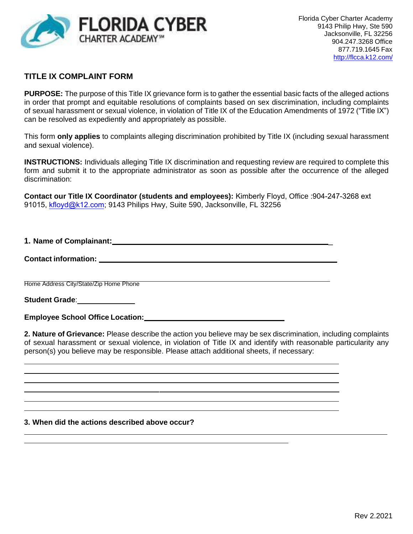

## **TITLE IX COMPLAINT FORM**

**PURPOSE:** The purpose of this Title IX grievance form is to gather the essential basic facts of the alleged actions in order that prompt and equitable resolutions of complaints based on sex discrimination, including complaints of sexual harassment or sexual violence, in violation of Title IX of the Education Amendments of 1972 ("Title IX") can be resolved as expediently and appropriately as possible.

This form **only applies** to complaints alleging discrimination prohibited by Title IX (including sexual harassment and sexual violence).

**INSTRUCTIONS:** Individuals alleging Title IX discrimination and requesting review are required to complete this form and submit it to the appropriate administrator as soon as possible after the occurrence of the alleged discrimination:

**Contact our Title IX Coordinator (students and employees):** Kimberly Floyd, Office :904-247-3268 ext 91015, [kfloyd@k12.com](mailto:bwhite@flccacademy.org); 9143 Philips Hwy, Suite 590, Jacksonville, FL 32256

**1. Name of Complainant:** \_

### **Contact information:**

Home Address City/State/Zip Home Phone

**Student Grade**:

**Employee School Office Location:**

**2. Nature of Grievance:** Please describe the action you believe may be sex discrimination, including complaints of sexual harassment or sexual violence, in violation of Title IX and identify with reasonable particularity any person(s) you believe may be responsible. Please attach additional sheets, if necessary:

#### **3. When did the actions described above occur?**